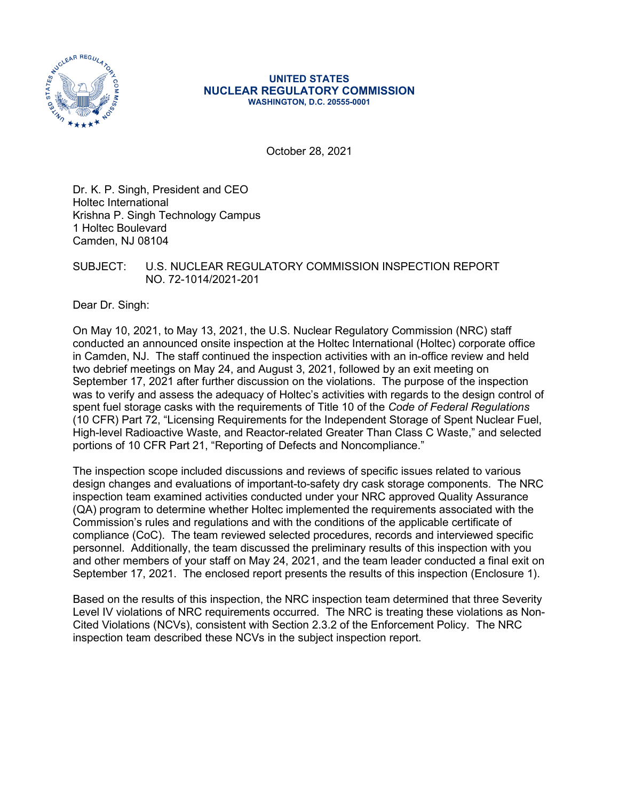

#### **UNITED STATES NUCLEAR REGULATORY COMMISSION WASHINGTON, D.C. 20555-0001**

October 28, 2021

Dr. K. P. Singh, President and CEO Holtec International Krishna P. Singh Technology Campus 1 Holtec Boulevard Camden, NJ 08104

SUBJECT: U.S. NUCLEAR REGULATORY COMMISSION INSPECTION REPORT NO. 72-1014/2021-201

Dear Dr. Singh:

On May 10, 2021, to May 13, 2021, the U.S. Nuclear Regulatory Commission (NRC) staff conducted an announced onsite inspection at the Holtec International (Holtec) corporate office in Camden, NJ. The staff continued the inspection activities with an in-office review and held two debrief meetings on May 24, and August 3, 2021, followed by an exit meeting on September 17, 2021 after further discussion on the violations. The purpose of the inspection was to verify and assess the adequacy of Holtec's activities with regards to the design control of spent fuel storage casks with the requirements of Title 10 of the *Code of Federal Regulations* (10 CFR) Part 72, "Licensing Requirements for the Independent Storage of Spent Nuclear Fuel, High-level Radioactive Waste, and Reactor-related Greater Than Class C Waste," and selected portions of 10 CFR Part 21, "Reporting of Defects and Noncompliance."

The inspection scope included discussions and reviews of specific issues related to various design changes and evaluations of important-to-safety dry cask storage components. The NRC inspection team examined activities conducted under your NRC approved Quality Assurance (QA) program to determine whether Holtec implemented the requirements associated with the Commission's rules and regulations and with the conditions of the applicable certificate of compliance (CoC). The team reviewed selected procedures, records and interviewed specific personnel. Additionally, the team discussed the preliminary results of this inspection with you and other members of your staff on May 24, 2021, and the team leader conducted a final exit on September 17, 2021. The enclosed report presents the results of this inspection (Enclosure 1).

Based on the results of this inspection, the NRC inspection team determined that three Severity Level IV violations of NRC requirements occurred. The NRC is treating these violations as Non-Cited Violations (NCVs), consistent with Section 2.3.2 of the Enforcement Policy. The NRC inspection team described these NCVs in the subject inspection report.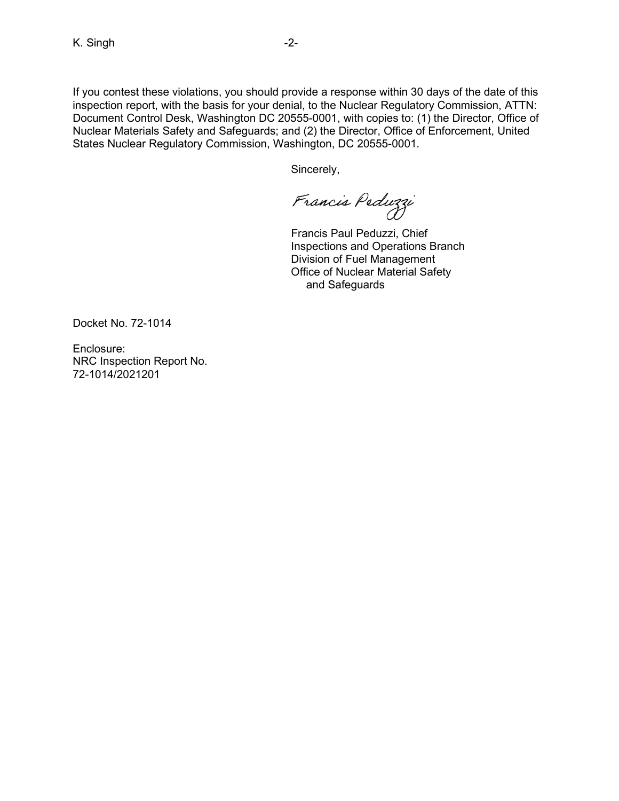If you contest these violations, you should provide a response within 30 days of the date of this inspection report, with the basis for your denial, to the Nuclear Regulatory Commission, ATTN: Document Control Desk, Washington DC 20555-0001, with copies to: (1) the Director, Office of Nuclear Materials Safety and Safeguards; and (2) the Director, Office of Enforcement, United States Nuclear Regulatory Commission, Washington, DC 20555-0001.

Sincerely,

Francis Peduzzi

Francis Paul Peduzzi, Chief Inspections and Operations Branch Division of Fuel Management Office of Nuclear Material Safety and Safeguards

Docket No. 72-1014

Enclosure: NRC Inspection Report No. 72-1014/2021201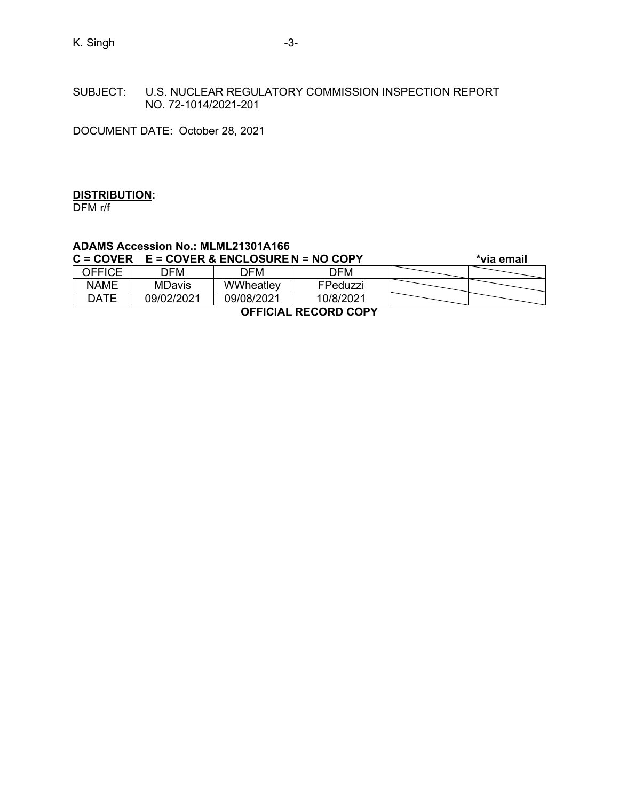SUBJECT: U.S. NUCLEAR REGULATORY COMMISSION INSPECTION REPORT NO. 72-1014/2021-201

DOCUMENT DATE: October 28, 2021

### **DISTRIBUTION:**

DFM r/f

# **ADAMS Accession No.: MLML21301A166**

| $C = COVER$ | <b>E = COVER &amp; ENCLOSURE N = NO COPY</b> |            |           | *via email |  |
|-------------|----------------------------------------------|------------|-----------|------------|--|
| OFFICE      | ר OFM                                        | DFM.       | ר OFM     |            |  |
| NAME        | <b>MDavis</b>                                | WWheatley  | FPeduzzi  |            |  |
| <b>DATE</b> | 09/02/2021                                   | 09/08/2021 | 10/8/2021 |            |  |

**OFFICIAL RECORD COPY**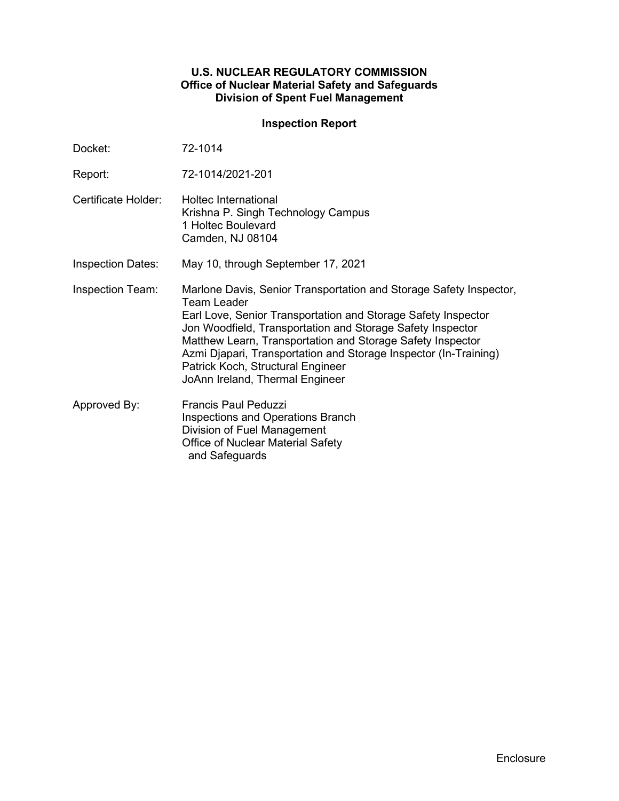### **U.S. NUCLEAR REGULATORY COMMISSION Office of Nuclear Material Safety and Safeguards Division of Spent Fuel Management**

## **Inspection Report**

| Docket:                  | 72-1014                                                                                                                                                                                                                                                                                                                                                                                                                    |
|--------------------------|----------------------------------------------------------------------------------------------------------------------------------------------------------------------------------------------------------------------------------------------------------------------------------------------------------------------------------------------------------------------------------------------------------------------------|
| Report:                  | 72-1014/2021-201                                                                                                                                                                                                                                                                                                                                                                                                           |
| Certificate Holder:      | Holtec International<br>Krishna P. Singh Technology Campus<br>1 Holtec Boulevard<br>Camden, NJ 08104                                                                                                                                                                                                                                                                                                                       |
| <b>Inspection Dates:</b> | May 10, through September 17, 2021                                                                                                                                                                                                                                                                                                                                                                                         |
| <b>Inspection Team:</b>  | Marlone Davis, Senior Transportation and Storage Safety Inspector,<br>Team Leader<br>Earl Love, Senior Transportation and Storage Safety Inspector<br>Jon Woodfield, Transportation and Storage Safety Inspector<br>Matthew Learn, Transportation and Storage Safety Inspector<br>Azmi Djapari, Transportation and Storage Inspector (In-Training)<br>Patrick Koch, Structural Engineer<br>JoAnn Ireland, Thermal Engineer |
| Approved By:             | Francis Paul Peduzzi<br><b>Inspections and Operations Branch</b><br>Division of Fuel Management<br><b>Office of Nuclear Material Safety</b><br>and Safeguards                                                                                                                                                                                                                                                              |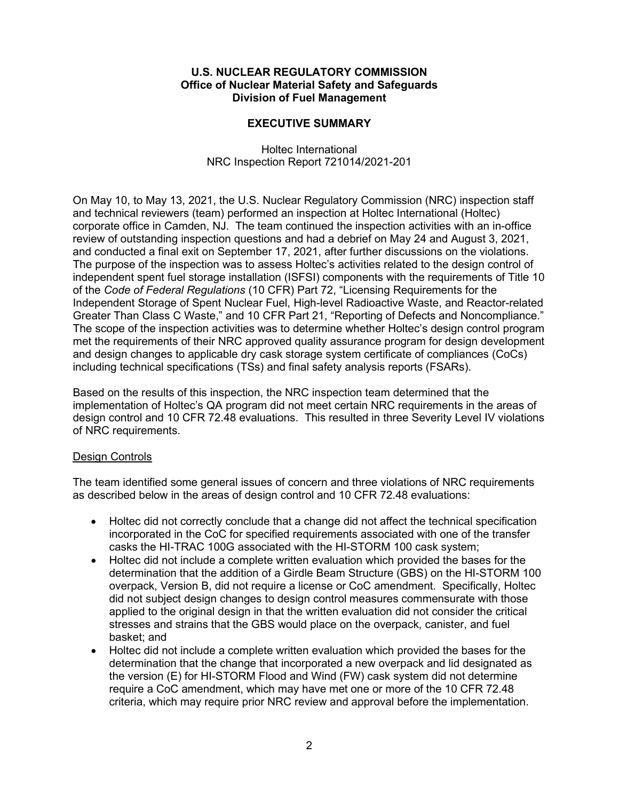#### **U.S. NUCLEAR REGULATORY COMMISSION Office of Nuclear Material Safety and Safeguards Division of Fuel Management**

### **EXECUTIVE SUMMARY**

Holtec International NRC Inspection Report 721014/2021-201

On May 10, to May 13, 2021, the U.S. Nuclear Regulatory Commission (NRC) inspection staff and technical reviewers (team) performed an inspection at Holtec International (Holtec) corporate office in Camden, NJ. The team continued the inspection activities with an in-office review of outstanding inspection questions and had a debrief on May 24 and August 3, 2021, and conducted a final exit on September 17, 2021, after further discussions on the violations. The purpose of the inspection was to assess Holtec's activities related to the design control of independent spent fuel storage installation (ISFSI) components with the requirements of Title 10 of the *Code of Federal Regulations* (10 CFR) Part 72, "Licensing Requirements for the Independent Storage of Spent Nuclear Fuel, High-level Radioactive Waste, and Reactor-related Greater Than Class C Waste," and 10 CFR Part 21, "Reporting of Defects and Noncompliance." The scope of the inspection activities was to determine whether Holtec's design control program met the requirements of their NRC approved quality assurance program for design development and design changes to applicable dry cask storage system certificate of compliances (CoCs) including technical specifications (TSs) and final safety analysis reports (FSARs).

Based on the results of this inspection, the NRC inspection team determined that the implementation of Holtec's QA program did not meet certain NRC requirements in the areas of design control and 10 CFR 72.48 evaluations. This resulted in three Severity Level IV violations of NRC requirements.

#### Design Controls

The team identified some general issues of concern and three violations of NRC requirements as described below in the areas of design control and 10 CFR 72.48 evaluations:

- Holtec did not correctly conclude that a change did not affect the technical specification incorporated in the CoC for specified requirements associated with one of the transfer casks the HI-TRAC 100G associated with the HI-STORM 100 cask system;
- Holtec did not include a complete written evaluation which provided the bases for the determination that the addition of a Girdle Beam Structure (GBS) on the HI-STORM 100 overpack, Version B, did not require a license or CoC amendment. Specifically, Holtec did not subject design changes to design control measures commensurate with those applied to the original design in that the written evaluation did not consider the critical stresses and strains that the GBS would place on the overpack, canister, and fuel basket; and
- Holtec did not include a complete written evaluation which provided the bases for the determination that the change that incorporated a new overpack and lid designated as the version (E) for HI-STORM Flood and Wind (FW) cask system did not determine require a CoC amendment, which may have met one or more of the 10 CFR 72.48 criteria, which may require prior NRC review and approval before the implementation.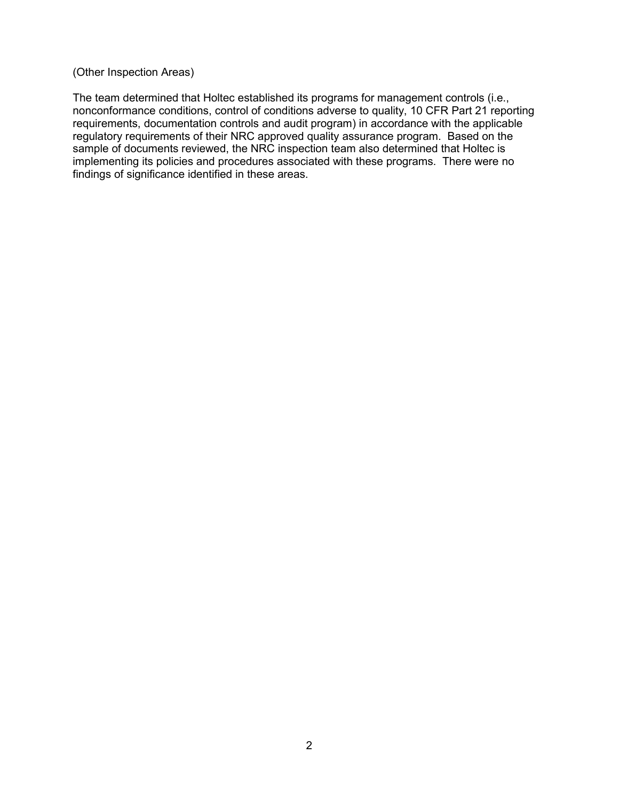#### (Other Inspection Areas)

The team determined that Holtec established its programs for management controls (i.e., nonconformance conditions, control of conditions adverse to quality, 10 CFR Part 21 reporting requirements, documentation controls and audit program) in accordance with the applicable regulatory requirements of their NRC approved quality assurance program. Based on the sample of documents reviewed, the NRC inspection team also determined that Holtec is implementing its policies and procedures associated with these programs. There were no findings of significance identified in these areas.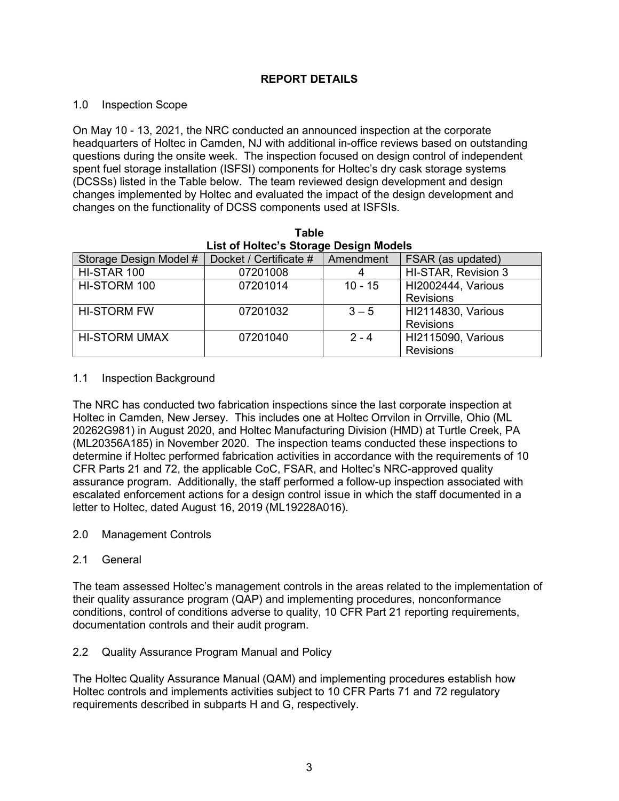## **REPORT DETAILS**

### 1.0 Inspection Scope

On May 10 - 13, 2021, the NRC conducted an announced inspection at the corporate headquarters of Holtec in Camden, NJ with additional in-office reviews based on outstanding questions during the onsite week. The inspection focused on design control of independent spent fuel storage installation (ISFSI) components for Holtec's dry cask storage systems (DCSSs) listed in the Table below. The team reviewed design development and design changes implemented by Holtec and evaluated the impact of the design development and changes on the functionality of DCSS components used at ISFSIs.

| List of Holtec's Storage Design Models |                        |           |                           |  |
|----------------------------------------|------------------------|-----------|---------------------------|--|
| Storage Design Model #                 | Docket / Certificate # | Amendment | FSAR (as updated)         |  |
| HI-STAR 100                            | 07201008               |           | HI-STAR, Revision 3       |  |
| HI-STORM 100                           | 07201014               | $10 - 15$ | <b>HI2002444, Various</b> |  |
|                                        |                        |           | <b>Revisions</b>          |  |
| <b>HI-STORM FW</b>                     | 07201032               | $3 - 5$   | <b>HI2114830, Various</b> |  |
|                                        |                        |           | <b>Revisions</b>          |  |
| <b>HI-STORM UMAX</b>                   | 07201040               | $2 - 4$   | <b>HI2115090, Various</b> |  |
|                                        |                        |           | <b>Revisions</b>          |  |

**Table** 

#### 1.1 Inspection Background

The NRC has conducted two fabrication inspections since the last corporate inspection at Holtec in Camden, New Jersey. This includes one at Holtec Orrvilon in Orrville, Ohio (ML 20262G981) in August 2020, and Holtec Manufacturing Division (HMD) at Turtle Creek, PA (ML20356A185) in November 2020. The inspection teams conducted these inspections to determine if Holtec performed fabrication activities in accordance with the requirements of 10 CFR Parts 21 and 72, the applicable CoC, FSAR, and Holtec's NRC-approved quality assurance program. Additionally, the staff performed a follow-up inspection associated with escalated enforcement actions for a design control issue in which the staff documented in a letter to Holtec, dated August 16, 2019 (ML19228A016).

2.0 Management Controls

### 2.1 General

The team assessed Holtec's management controls in the areas related to the implementation of their quality assurance program (QAP) and implementing procedures, nonconformance conditions, control of conditions adverse to quality, 10 CFR Part 21 reporting requirements, documentation controls and their audit program.

### 2.2 Quality Assurance Program Manual and Policy

The Holtec Quality Assurance Manual (QAM) and implementing procedures establish how Holtec controls and implements activities subject to 10 CFR Parts 71 and 72 regulatory requirements described in subparts H and G, respectively.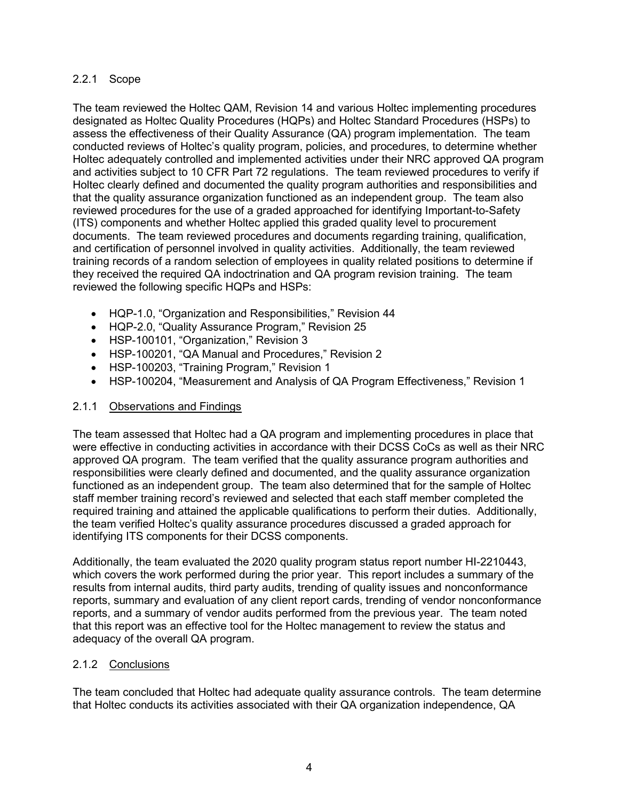### 2.2.1 Scope

The team reviewed the Holtec QAM, Revision 14 and various Holtec implementing procedures designated as Holtec Quality Procedures (HQPs) and Holtec Standard Procedures (HSPs) to assess the effectiveness of their Quality Assurance (QA) program implementation. The team conducted reviews of Holtec's quality program, policies, and procedures, to determine whether Holtec adequately controlled and implemented activities under their NRC approved QA program and activities subject to 10 CFR Part 72 regulations. The team reviewed procedures to verify if Holtec clearly defined and documented the quality program authorities and responsibilities and that the quality assurance organization functioned as an independent group. The team also reviewed procedures for the use of a graded approached for identifying Important-to-Safety (ITS) components and whether Holtec applied this graded quality level to procurement documents. The team reviewed procedures and documents regarding training, qualification, and certification of personnel involved in quality activities. Additionally, the team reviewed training records of a random selection of employees in quality related positions to determine if they received the required QA indoctrination and QA program revision training. The team reviewed the following specific HQPs and HSPs:

- HQP-1.0, "Organization and Responsibilities," Revision 44
- HQP-2.0, "Quality Assurance Program," Revision 25
- HSP-100101, "Organization," Revision 3
- HSP-100201, "QA Manual and Procedures," Revision 2
- HSP-100203, "Training Program," Revision 1
- HSP-100204, "Measurement and Analysis of QA Program Effectiveness," Revision 1

### 2.1.1 Observations and Findings

The team assessed that Holtec had a QA program and implementing procedures in place that were effective in conducting activities in accordance with their DCSS CoCs as well as their NRC approved QA program. The team verified that the quality assurance program authorities and responsibilities were clearly defined and documented, and the quality assurance organization functioned as an independent group. The team also determined that for the sample of Holtec staff member training record's reviewed and selected that each staff member completed the required training and attained the applicable qualifications to perform their duties. Additionally, the team verified Holtec's quality assurance procedures discussed a graded approach for identifying ITS components for their DCSS components.

Additionally, the team evaluated the 2020 quality program status report number HI-2210443, which covers the work performed during the prior year. This report includes a summary of the results from internal audits, third party audits, trending of quality issues and nonconformance reports, summary and evaluation of any client report cards, trending of vendor nonconformance reports, and a summary of vendor audits performed from the previous year. The team noted that this report was an effective tool for the Holtec management to review the status and adequacy of the overall QA program.

### 2.1.2 Conclusions

The team concluded that Holtec had adequate quality assurance controls. The team determine that Holtec conducts its activities associated with their QA organization independence, QA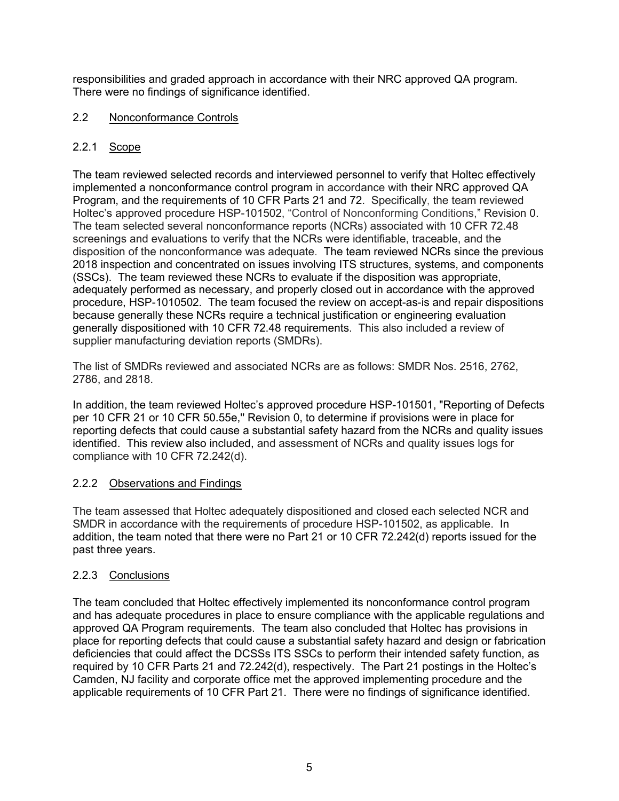responsibilities and graded approach in accordance with their NRC approved QA program. There were no findings of significance identified.

## 2.2 Nonconformance Controls

## 2.2.1 Scope

The team reviewed selected records and interviewed personnel to verify that Holtec effectively implemented a nonconformance control program in accordance with their NRC approved QA Program, and the requirements of 10 CFR Parts 21 and 72. Specifically, the team reviewed Holtec's approved procedure HSP-101502, "Control of Nonconforming Conditions," Revision 0. The team selected several nonconformance reports (NCRs) associated with 10 CFR 72.48 screenings and evaluations to verify that the NCRs were identifiable, traceable, and the disposition of the nonconformance was adequate. The team reviewed NCRs since the previous 2018 inspection and concentrated on issues involving ITS structures, systems, and components (SSCs). The team reviewed these NCRs to evaluate if the disposition was appropriate, adequately performed as necessary, and properly closed out in accordance with the approved procedure, HSP-1010502. The team focused the review on accept-as-is and repair dispositions because generally these NCRs require a technical justification or engineering evaluation generally dispositioned with 10 CFR 72.48 requirements. This also included a review of supplier manufacturing deviation reports (SMDRs).

The list of SMDRs reviewed and associated NCRs are as follows: SMDR Nos. 2516, 2762, 2786, and 2818.

In addition, the team reviewed Holtec's approved procedure HSP-101501, "Reporting of Defects per 10 CFR 21 or 10 CFR 50.55e,'' Revision 0, to determine if provisions were in place for reporting defects that could cause a substantial safety hazard from the NCRs and quality issues identified. This review also included, and assessment of NCRs and quality issues logs for compliance with 10 CFR 72.242(d).

## 2.2.2 Observations and Findings

The team assessed that Holtec adequately dispositioned and closed each selected NCR and SMDR in accordance with the requirements of procedure HSP-101502, as applicable. In addition, the team noted that there were no Part 21 or 10 CFR 72.242(d) reports issued for the past three years.

## 2.2.3 Conclusions

The team concluded that Holtec effectively implemented its nonconformance control program and has adequate procedures in place to ensure compliance with the applicable regulations and approved QA Program requirements. The team also concluded that Holtec has provisions in place for reporting defects that could cause a substantial safety hazard and design or fabrication deficiencies that could affect the DCSSs ITS SSCs to perform their intended safety function, as required by 10 CFR Parts 21 and 72.242(d), respectively. The Part 21 postings in the Holtec's Camden, NJ facility and corporate office met the approved implementing procedure and the applicable requirements of 10 CFR Part 21. There were no findings of significance identified.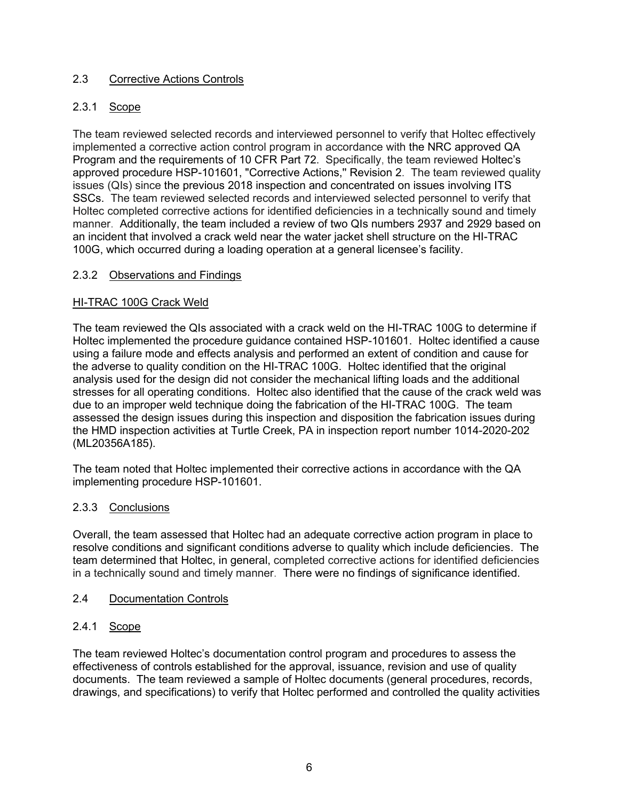## 2.3 Corrective Actions Controls

## 2.3.1 Scope

The team reviewed selected records and interviewed personnel to verify that Holtec effectively implemented a corrective action control program in accordance with the NRC approved QA Program and the requirements of 10 CFR Part 72. Specifically, the team reviewed Holtec's approved procedure HSP-101601, "Corrective Actions,'' Revision 2. The team reviewed quality issues (QIs) since the previous 2018 inspection and concentrated on issues involving ITS SSCs. The team reviewed selected records and interviewed selected personnel to verify that Holtec completed corrective actions for identified deficiencies in a technically sound and timely manner. Additionally, the team included a review of two QIs numbers 2937 and 2929 based on an incident that involved a crack weld near the water jacket shell structure on the HI-TRAC 100G, which occurred during a loading operation at a general licensee's facility.

## 2.3.2 Observations and Findings

### HI-TRAC 100G Crack Weld

The team reviewed the QIs associated with a crack weld on the HI-TRAC 100G to determine if Holtec implemented the procedure guidance contained HSP-101601. Holtec identified a cause using a failure mode and effects analysis and performed an extent of condition and cause for the adverse to quality condition on the HI-TRAC 100G. Holtec identified that the original analysis used for the design did not consider the mechanical lifting loads and the additional stresses for all operating conditions. Holtec also identified that the cause of the crack weld was due to an improper weld technique doing the fabrication of the HI-TRAC 100G. The team assessed the design issues during this inspection and disposition the fabrication issues during the HMD inspection activities at Turtle Creek, PA in inspection report number 1014-2020-202 (ML20356A185).

The team noted that Holtec implemented their corrective actions in accordance with the QA implementing procedure HSP-101601.

### 2.3.3 Conclusions

Overall, the team assessed that Holtec had an adequate corrective action program in place to resolve conditions and significant conditions adverse to quality which include deficiencies. The team determined that Holtec, in general, completed corrective actions for identified deficiencies in a technically sound and timely manner. There were no findings of significance identified.

### 2.4 Documentation Controls

### 2.4.1 Scope

The team reviewed Holtec's documentation control program and procedures to assess the effectiveness of controls established for the approval, issuance, revision and use of quality documents. The team reviewed a sample of Holtec documents (general procedures, records, drawings, and specifications) to verify that Holtec performed and controlled the quality activities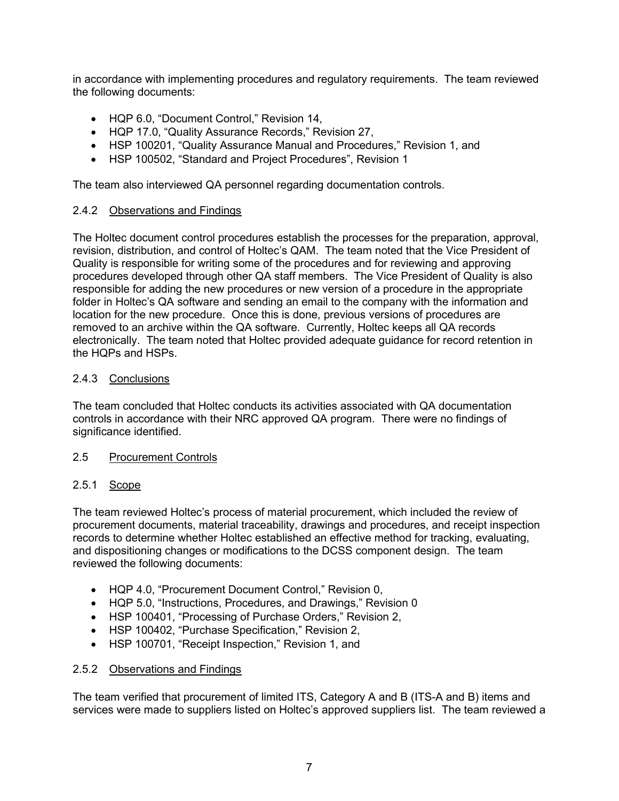in accordance with implementing procedures and regulatory requirements. The team reviewed the following documents:

- HQP 6.0, "Document Control," Revision 14,
- HQP 17.0, "Quality Assurance Records," Revision 27,
- HSP 100201, "Quality Assurance Manual and Procedures," Revision 1, and
- HSP 100502, "Standard and Project Procedures", Revision 1

The team also interviewed QA personnel regarding documentation controls.

### 2.4.2 Observations and Findings

The Holtec document control procedures establish the processes for the preparation, approval, revision, distribution, and control of Holtec's QAM. The team noted that the Vice President of Quality is responsible for writing some of the procedures and for reviewing and approving procedures developed through other QA staff members. The Vice President of Quality is also responsible for adding the new procedures or new version of a procedure in the appropriate folder in Holtec's QA software and sending an email to the company with the information and location for the new procedure. Once this is done, previous versions of procedures are removed to an archive within the QA software. Currently, Holtec keeps all QA records electronically. The team noted that Holtec provided adequate guidance for record retention in the HQPs and HSPs.

### 2.4.3 Conclusions

The team concluded that Holtec conducts its activities associated with QA documentation controls in accordance with their NRC approved QA program. There were no findings of significance identified.

### 2.5 Procurement Controls

### 2.5.1 Scope

The team reviewed Holtec's process of material procurement, which included the review of procurement documents, material traceability, drawings and procedures, and receipt inspection records to determine whether Holtec established an effective method for tracking, evaluating, and dispositioning changes or modifications to the DCSS component design. The team reviewed the following documents:

- HQP 4.0, "Procurement Document Control," Revision 0,
- HQP 5.0, "Instructions, Procedures, and Drawings," Revision 0
- HSP 100401, "Processing of Purchase Orders," Revision 2,
- HSP 100402, "Purchase Specification," Revision 2,
- HSP 100701, "Receipt Inspection," Revision 1, and

#### 2.5.2 Observations and Findings

The team verified that procurement of limited ITS, Category A and B (ITS-A and B) items and services were made to suppliers listed on Holtec's approved suppliers list. The team reviewed a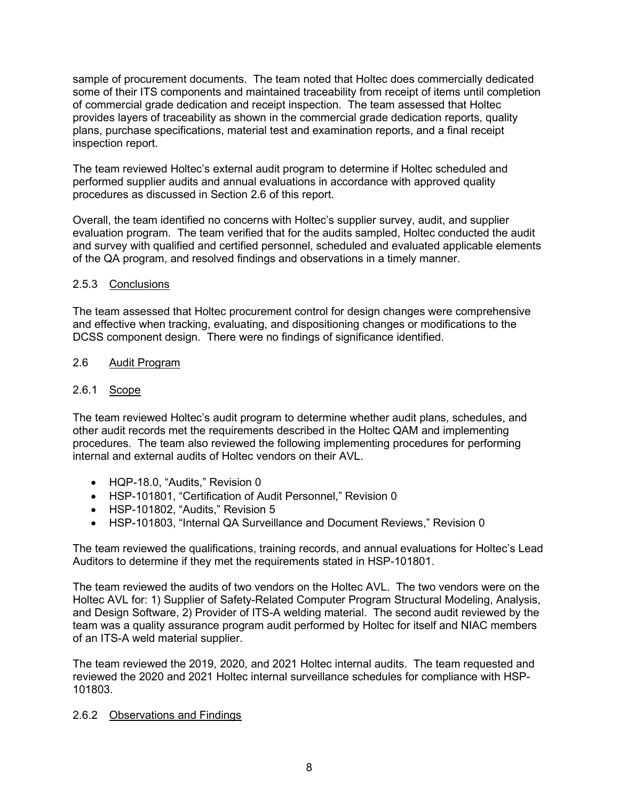sample of procurement documents. The team noted that Holtec does commercially dedicated some of their ITS components and maintained traceability from receipt of items until completion of commercial grade dedication and receipt inspection. The team assessed that Holtec provides layers of traceability as shown in the commercial grade dedication reports, quality plans, purchase specifications, material test and examination reports, and a final receipt inspection report.

The team reviewed Holtec's external audit program to determine if Holtec scheduled and performed supplier audits and annual evaluations in accordance with approved quality procedures as discussed in Section 2.6 of this report.

Overall, the team identified no concerns with Holtec's supplier survey, audit, and supplier evaluation program. The team verified that for the audits sampled, Holtec conducted the audit and survey with qualified and certified personnel, scheduled and evaluated applicable elements of the QA program, and resolved findings and observations in a timely manner.

### 2.5.3 Conclusions

The team assessed that Holtec procurement control for design changes were comprehensive and effective when tracking, evaluating, and dispositioning changes or modifications to the DCSS component design. There were no findings of significance identified.

### 2.6 Audit Program

## 2.6.1 Scope

The team reviewed Holtec's audit program to determine whether audit plans, schedules, and other audit records met the requirements described in the Holtec QAM and implementing procedures. The team also reviewed the following implementing procedures for performing internal and external audits of Holtec vendors on their AVL.

- HQP-18.0, "Audits," Revision 0
- HSP-101801, "Certification of Audit Personnel," Revision 0
- HSP-101802, "Audits," Revision 5
- HSP-101803, "Internal QA Surveillance and Document Reviews," Revision 0

The team reviewed the qualifications, training records, and annual evaluations for Holtec's Lead Auditors to determine if they met the requirements stated in HSP-101801.

The team reviewed the audits of two vendors on the Holtec AVL. The two vendors were on the Holtec AVL for: 1) Supplier of Safety-Related Computer Program Structural Modeling, Analysis, and Design Software, 2) Provider of ITS-A welding material. The second audit reviewed by the team was a quality assurance program audit performed by Holtec for itself and NIAC members of an ITS-A weld material supplier.

The team reviewed the 2019, 2020, and 2021 Holtec internal audits. The team requested and reviewed the 2020 and 2021 Holtec internal surveillance schedules for compliance with HSP-101803.

### 2.6.2 Observations and Findings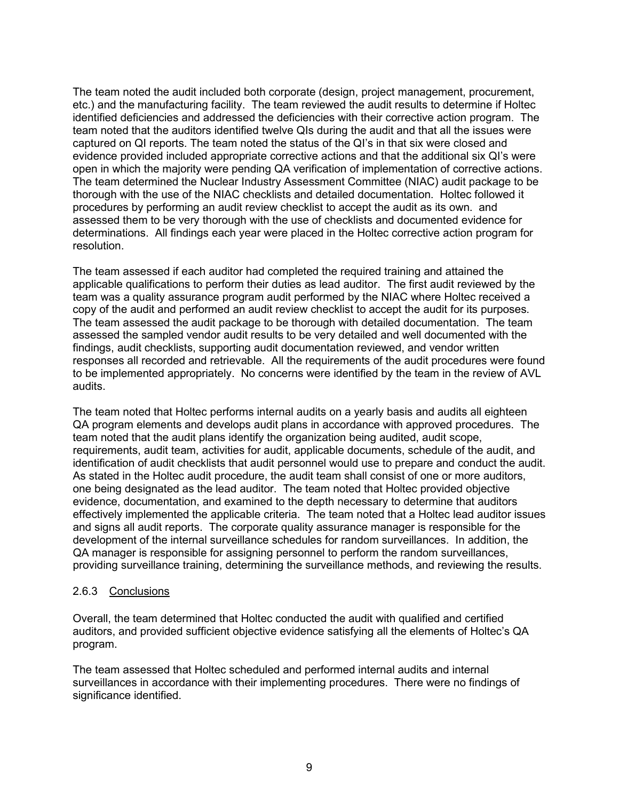The team noted the audit included both corporate (design, project management, procurement, etc.) and the manufacturing facility. The team reviewed the audit results to determine if Holtec identified deficiencies and addressed the deficiencies with their corrective action program. The team noted that the auditors identified twelve QIs during the audit and that all the issues were captured on QI reports. The team noted the status of the QI's in that six were closed and evidence provided included appropriate corrective actions and that the additional six QI's were open in which the majority were pending QA verification of implementation of corrective actions. The team determined the Nuclear Industry Assessment Committee (NIAC) audit package to be thorough with the use of the NIAC checklists and detailed documentation. Holtec followed it procedures by performing an audit review checklist to accept the audit as its own. and assessed them to be very thorough with the use of checklists and documented evidence for determinations. All findings each year were placed in the Holtec corrective action program for resolution.

The team assessed if each auditor had completed the required training and attained the applicable qualifications to perform their duties as lead auditor. The first audit reviewed by the team was a quality assurance program audit performed by the NIAC where Holtec received a copy of the audit and performed an audit review checklist to accept the audit for its purposes. The team assessed the audit package to be thorough with detailed documentation. The team assessed the sampled vendor audit results to be very detailed and well documented with the findings, audit checklists, supporting audit documentation reviewed, and vendor written responses all recorded and retrievable. All the requirements of the audit procedures were found to be implemented appropriately. No concerns were identified by the team in the review of AVL audits.

The team noted that Holtec performs internal audits on a yearly basis and audits all eighteen QA program elements and develops audit plans in accordance with approved procedures. The team noted that the audit plans identify the organization being audited, audit scope, requirements, audit team, activities for audit, applicable documents, schedule of the audit, and identification of audit checklists that audit personnel would use to prepare and conduct the audit. As stated in the Holtec audit procedure, the audit team shall consist of one or more auditors, one being designated as the lead auditor. The team noted that Holtec provided objective evidence, documentation, and examined to the depth necessary to determine that auditors effectively implemented the applicable criteria. The team noted that a Holtec lead auditor issues and signs all audit reports. The corporate quality assurance manager is responsible for the development of the internal surveillance schedules for random surveillances. In addition, the QA manager is responsible for assigning personnel to perform the random surveillances, providing surveillance training, determining the surveillance methods, and reviewing the results.

### 2.6.3 Conclusions

Overall, the team determined that Holtec conducted the audit with qualified and certified auditors, and provided sufficient objective evidence satisfying all the elements of Holtec's QA program.

The team assessed that Holtec scheduled and performed internal audits and internal surveillances in accordance with their implementing procedures. There were no findings of significance identified.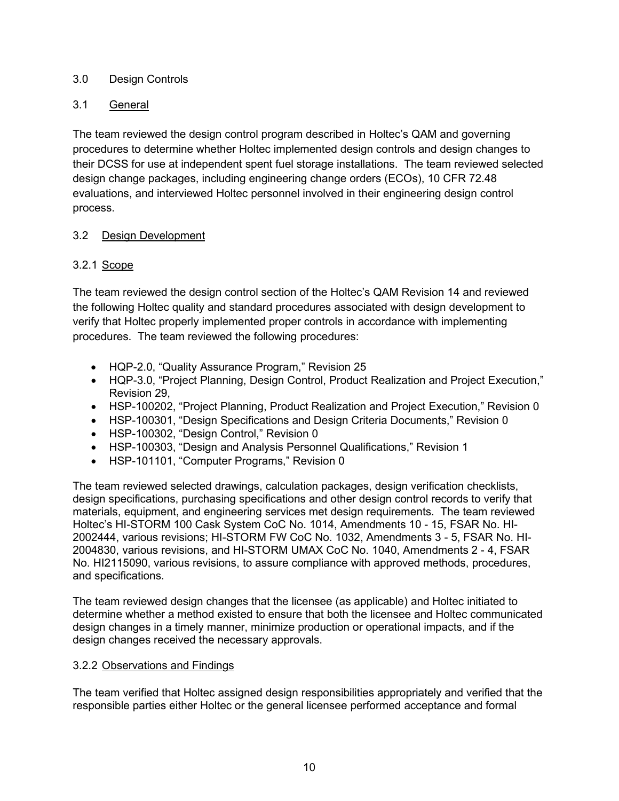## 3.0 Design Controls

# 3.1 General

The team reviewed the design control program described in Holtec's QAM and governing procedures to determine whether Holtec implemented design controls and design changes to their DCSS for use at independent spent fuel storage installations. The team reviewed selected design change packages, including engineering change orders (ECOs), 10 CFR 72.48 evaluations, and interviewed Holtec personnel involved in their engineering design control process.

## 3.2 Design Development

# 3.2.1 Scope

The team reviewed the design control section of the Holtec's QAM Revision 14 and reviewed the following Holtec quality and standard procedures associated with design development to verify that Holtec properly implemented proper controls in accordance with implementing procedures. The team reviewed the following procedures:

- HQP-2.0, "Quality Assurance Program," Revision 25
- HQP-3.0, "Project Planning, Design Control, Product Realization and Project Execution," Revision 29,
- HSP-100202, "Project Planning, Product Realization and Project Execution," Revision 0
- HSP-100301, "Design Specifications and Design Criteria Documents," Revision 0
- HSP-100302, "Design Control," Revision 0
- HSP-100303, "Design and Analysis Personnel Qualifications," Revision 1
- HSP-101101, "Computer Programs," Revision 0

The team reviewed selected drawings, calculation packages, design verification checklists, design specifications, purchasing specifications and other design control records to verify that materials, equipment, and engineering services met design requirements. The team reviewed Holtec's HI-STORM 100 Cask System CoC No. 1014, Amendments 10 - 15, FSAR No. HI-2002444, various revisions; HI-STORM FW CoC No. 1032, Amendments 3 - 5, FSAR No. HI-2004830, various revisions, and HI-STORM UMAX CoC No. 1040, Amendments 2 - 4, FSAR No. HI2115090, various revisions, to assure compliance with approved methods, procedures, and specifications.

The team reviewed design changes that the licensee (as applicable) and Holtec initiated to determine whether a method existed to ensure that both the licensee and Holtec communicated design changes in a timely manner, minimize production or operational impacts, and if the design changes received the necessary approvals.

## 3.2.2 Observations and Findings

The team verified that Holtec assigned design responsibilities appropriately and verified that the responsible parties either Holtec or the general licensee performed acceptance and formal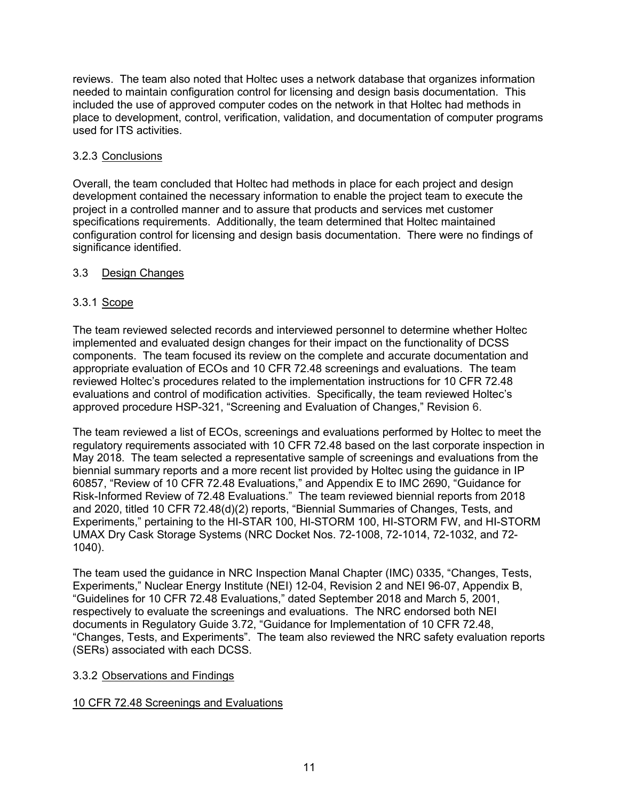reviews. The team also noted that Holtec uses a network database that organizes information needed to maintain configuration control for licensing and design basis documentation. This included the use of approved computer codes on the network in that Holtec had methods in place to development, control, verification, validation, and documentation of computer programs used for ITS activities.

## 3.2.3 Conclusions

Overall, the team concluded that Holtec had methods in place for each project and design development contained the necessary information to enable the project team to execute the project in a controlled manner and to assure that products and services met customer specifications requirements. Additionally, the team determined that Holtec maintained configuration control for licensing and design basis documentation. There were no findings of significance identified.

## 3.3 Design Changes

## 3.3.1 Scope

The team reviewed selected records and interviewed personnel to determine whether Holtec implemented and evaluated design changes for their impact on the functionality of DCSS components. The team focused its review on the complete and accurate documentation and appropriate evaluation of ECOs and 10 CFR 72.48 screenings and evaluations. The team reviewed Holtec's procedures related to the implementation instructions for 10 CFR 72.48 evaluations and control of modification activities. Specifically, the team reviewed Holtec's approved procedure HSP-321, "Screening and Evaluation of Changes," Revision 6.

The team reviewed a list of ECOs, screenings and evaluations performed by Holtec to meet the regulatory requirements associated with 10 CFR 72.48 based on the last corporate inspection in May 2018. The team selected a representative sample of screenings and evaluations from the biennial summary reports and a more recent list provided by Holtec using the guidance in IP 60857, "Review of 10 CFR 72.48 Evaluations," and Appendix E to IMC 2690, "Guidance for Risk-Informed Review of 72.48 Evaluations." The team reviewed biennial reports from 2018 and 2020, titled 10 CFR 72.48(d)(2) reports, "Biennial Summaries of Changes, Tests, and Experiments," pertaining to the HI-STAR 100, HI-STORM 100, HI-STORM FW, and HI-STORM UMAX Dry Cask Storage Systems (NRC Docket Nos. 72-1008, 72-1014, 72-1032, and 72- 1040).

The team used the guidance in NRC Inspection Manal Chapter (IMC) 0335, "Changes, Tests, Experiments," Nuclear Energy Institute (NEI) 12-04, Revision 2 and NEI 96-07, Appendix B, "Guidelines for 10 CFR 72.48 Evaluations," dated September 2018 and March 5, 2001, respectively to evaluate the screenings and evaluations. The NRC endorsed both NEI documents in Regulatory Guide 3.72, "Guidance for Implementation of 10 CFR 72.48, "Changes, Tests, and Experiments". The team also reviewed the NRC safety evaluation reports (SERs) associated with each DCSS.

### 3.3.2 Observations and Findings

### 10 CFR 72.48 Screenings and Evaluations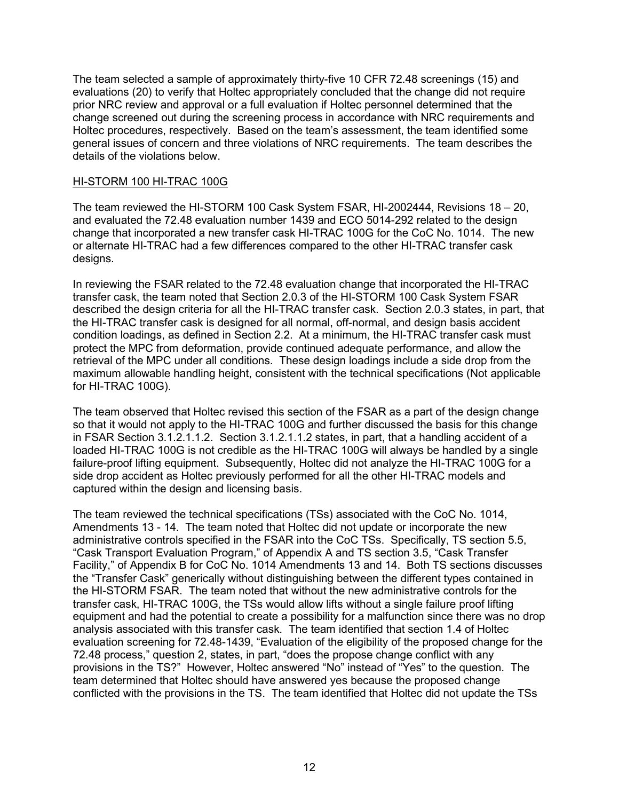The team selected a sample of approximately thirty-five 10 CFR 72.48 screenings (15) and evaluations (20) to verify that Holtec appropriately concluded that the change did not require prior NRC review and approval or a full evaluation if Holtec personnel determined that the change screened out during the screening process in accordance with NRC requirements and Holtec procedures, respectively. Based on the team's assessment, the team identified some general issues of concern and three violations of NRC requirements. The team describes the details of the violations below.

#### HI-STORM 100 HI-TRAC 100G

The team reviewed the HI-STORM 100 Cask System FSAR, HI-2002444, Revisions 18 – 20, and evaluated the 72.48 evaluation number 1439 and ECO 5014-292 related to the design change that incorporated a new transfer cask HI-TRAC 100G for the CoC No. 1014. The new or alternate HI-TRAC had a few differences compared to the other HI-TRAC transfer cask designs.

In reviewing the FSAR related to the 72.48 evaluation change that incorporated the HI-TRAC transfer cask, the team noted that Section 2.0.3 of the HI-STORM 100 Cask System FSAR described the design criteria for all the HI-TRAC transfer cask. Section 2.0.3 states, in part, that the HI-TRAC transfer cask is designed for all normal, off-normal, and design basis accident condition loadings, as defined in Section 2.2. At a minimum, the HI-TRAC transfer cask must protect the MPC from deformation, provide continued adequate performance, and allow the retrieval of the MPC under all conditions. These design loadings include a side drop from the maximum allowable handling height, consistent with the technical specifications (Not applicable for HI-TRAC 100G).

The team observed that Holtec revised this section of the FSAR as a part of the design change so that it would not apply to the HI-TRAC 100G and further discussed the basis for this change in FSAR Section 3.1.2.1.1.2. Section 3.1.2.1.1.2 states, in part, that a handling accident of a loaded HI-TRAC 100G is not credible as the HI-TRAC 100G will always be handled by a single failure-proof lifting equipment. Subsequently, Holtec did not analyze the HI-TRAC 100G for a side drop accident as Holtec previously performed for all the other HI-TRAC models and captured within the design and licensing basis.

The team reviewed the technical specifications (TSs) associated with the CoC No. 1014, Amendments 13 - 14. The team noted that Holtec did not update or incorporate the new administrative controls specified in the FSAR into the CoC TSs. Specifically, TS section 5.5, "Cask Transport Evaluation Program," of Appendix A and TS section 3.5, "Cask Transfer Facility," of Appendix B for CoC No. 1014 Amendments 13 and 14. Both TS sections discusses the "Transfer Cask" generically without distinguishing between the different types contained in the HI-STORM FSAR. The team noted that without the new administrative controls for the transfer cask, HI-TRAC 100G, the TSs would allow lifts without a single failure proof lifting equipment and had the potential to create a possibility for a malfunction since there was no drop analysis associated with this transfer cask. The team identified that section 1.4 of Holtec evaluation screening for 72.48-1439, "Evaluation of the eligibility of the proposed change for the 72.48 process," question 2, states, in part, "does the propose change conflict with any provisions in the TS?" However, Holtec answered "No" instead of "Yes" to the question. The team determined that Holtec should have answered yes because the proposed change conflicted with the provisions in the TS. The team identified that Holtec did not update the TSs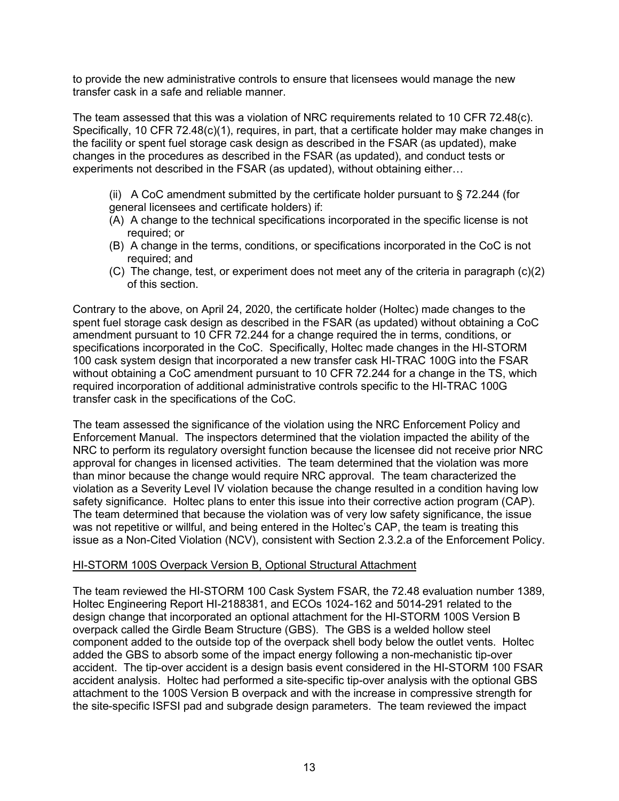to provide the new administrative controls to ensure that licensees would manage the new transfer cask in a safe and reliable manner.

The team assessed that this was a violation of NRC requirements related to 10 CFR 72.48(c). Specifically, 10 CFR 72.48(c)(1), requires, in part, that a certificate holder may make changes in the facility or spent fuel storage cask design as described in the FSAR (as updated), make changes in the procedures as described in the FSAR (as updated), and conduct tests or experiments not described in the FSAR (as updated), without obtaining either…

- (ii) A CoC amendment submitted by the certificate holder pursuant to  $\S$  72.244 (for general licensees and certificate holders) if:
- (A) A change to the technical specifications incorporated in the specific license is not required; or
- (B) A change in the terms, conditions, or specifications incorporated in the CoC is not required; and
- (C) The change, test, or experiment does not meet any of the criteria in paragraph (c)(2) of this section.

Contrary to the above, on April 24, 2020, the certificate holder (Holtec) made changes to the spent fuel storage cask design as described in the FSAR (as updated) without obtaining a CoC amendment pursuant to 10 CFR 72.244 for a change required the in terms, conditions, or specifications incorporated in the CoC. Specifically, Holtec made changes in the HI-STORM 100 cask system design that incorporated a new transfer cask HI-TRAC 100G into the FSAR without obtaining a CoC amendment pursuant to 10 CFR 72.244 for a change in the TS, which required incorporation of additional administrative controls specific to the HI-TRAC 100G transfer cask in the specifications of the CoC.

The team assessed the significance of the violation using the NRC Enforcement Policy and Enforcement Manual. The inspectors determined that the violation impacted the ability of the NRC to perform its regulatory oversight function because the licensee did not receive prior NRC approval for changes in licensed activities. The team determined that the violation was more than minor because the change would require NRC approval. The team characterized the violation as a Severity Level IV violation because the change resulted in a condition having low safety significance. Holtec plans to enter this issue into their corrective action program (CAP). The team determined that because the violation was of very low safety significance, the issue was not repetitive or willful, and being entered in the Holtec's CAP, the team is treating this issue as a Non-Cited Violation (NCV), consistent with Section 2.3.2.a of the Enforcement Policy.

### HI-STORM 100S Overpack Version B, Optional Structural Attachment

The team reviewed the HI-STORM 100 Cask System FSAR, the 72.48 evaluation number 1389, Holtec Engineering Report HI-2188381, and ECOs 1024-162 and 5014-291 related to the design change that incorporated an optional attachment for the HI-STORM 100S Version B overpack called the Girdle Beam Structure (GBS). The GBS is a welded hollow steel component added to the outside top of the overpack shell body below the outlet vents. Holtec added the GBS to absorb some of the impact energy following a non-mechanistic tip-over accident. The tip-over accident is a design basis event considered in the HI-STORM 100 FSAR accident analysis. Holtec had performed a site-specific tip-over analysis with the optional GBS attachment to the 100S Version B overpack and with the increase in compressive strength for the site-specific ISFSI pad and subgrade design parameters. The team reviewed the impact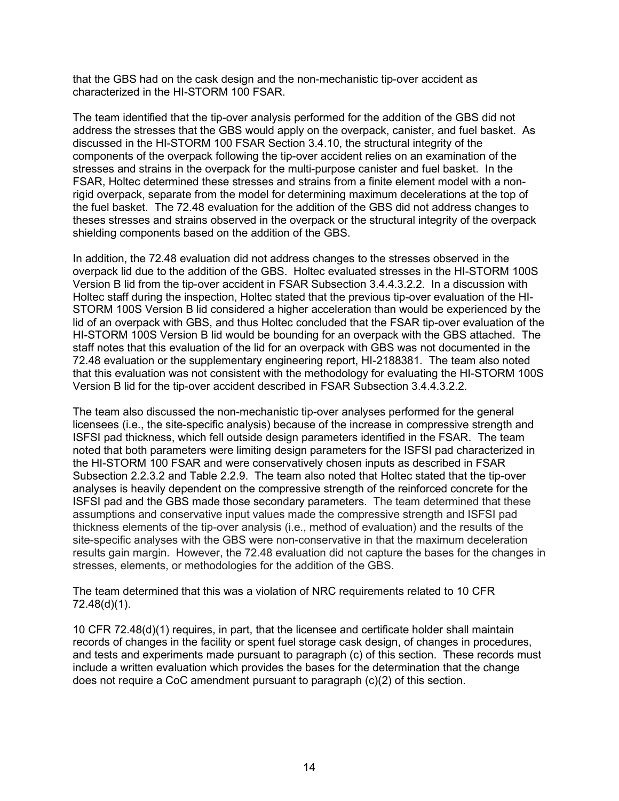that the GBS had on the cask design and the non-mechanistic tip-over accident as characterized in the HI-STORM 100 FSAR.

The team identified that the tip-over analysis performed for the addition of the GBS did not address the stresses that the GBS would apply on the overpack, canister, and fuel basket. As discussed in the HI-STORM 100 FSAR Section 3.4.10, the structural integrity of the components of the overpack following the tip-over accident relies on an examination of the stresses and strains in the overpack for the multi-purpose canister and fuel basket. In the FSAR, Holtec determined these stresses and strains from a finite element model with a nonrigid overpack, separate from the model for determining maximum decelerations at the top of the fuel basket. The 72.48 evaluation for the addition of the GBS did not address changes to theses stresses and strains observed in the overpack or the structural integrity of the overpack shielding components based on the addition of the GBS.

In addition, the 72.48 evaluation did not address changes to the stresses observed in the overpack lid due to the addition of the GBS. Holtec evaluated stresses in the HI-STORM 100S Version B lid from the tip-over accident in FSAR Subsection 3.4.4.3.2.2. In a discussion with Holtec staff during the inspection, Holtec stated that the previous tip-over evaluation of the HI-STORM 100S Version B lid considered a higher acceleration than would be experienced by the lid of an overpack with GBS, and thus Holtec concluded that the FSAR tip-over evaluation of the HI-STORM 100S Version B lid would be bounding for an overpack with the GBS attached. The staff notes that this evaluation of the lid for an overpack with GBS was not documented in the 72.48 evaluation or the supplementary engineering report, HI-2188381. The team also noted that this evaluation was not consistent with the methodology for evaluating the HI-STORM 100S Version B lid for the tip-over accident described in FSAR Subsection 3.4.4.3.2.2.

The team also discussed the non-mechanistic tip-over analyses performed for the general licensees (i.e., the site-specific analysis) because of the increase in compressive strength and ISFSI pad thickness, which fell outside design parameters identified in the FSAR. The team noted that both parameters were limiting design parameters for the ISFSI pad characterized in the HI-STORM 100 FSAR and were conservatively chosen inputs as described in FSAR Subsection 2.2.3.2 and Table 2.2.9. The team also noted that Holtec stated that the tip-over analyses is heavily dependent on the compressive strength of the reinforced concrete for the ISFSI pad and the GBS made those secondary parameters. The team determined that these assumptions and conservative input values made the compressive strength and ISFSI pad thickness elements of the tip-over analysis (i.e., method of evaluation) and the results of the site-specific analyses with the GBS were non-conservative in that the maximum deceleration results gain margin. However, the 72.48 evaluation did not capture the bases for the changes in stresses, elements, or methodologies for the addition of the GBS.

The team determined that this was a violation of NRC requirements related to 10 CFR 72.48(d)(1).

10 CFR 72.48(d)(1) requires, in part, that the licensee and certificate holder shall maintain records of changes in the facility or spent fuel storage cask design, of changes in procedures, and tests and experiments made pursuant to paragraph (c) of this section. These records must include a written evaluation which provides the bases for the determination that the change does not require a CoC amendment pursuant to paragraph (c)(2) of this section.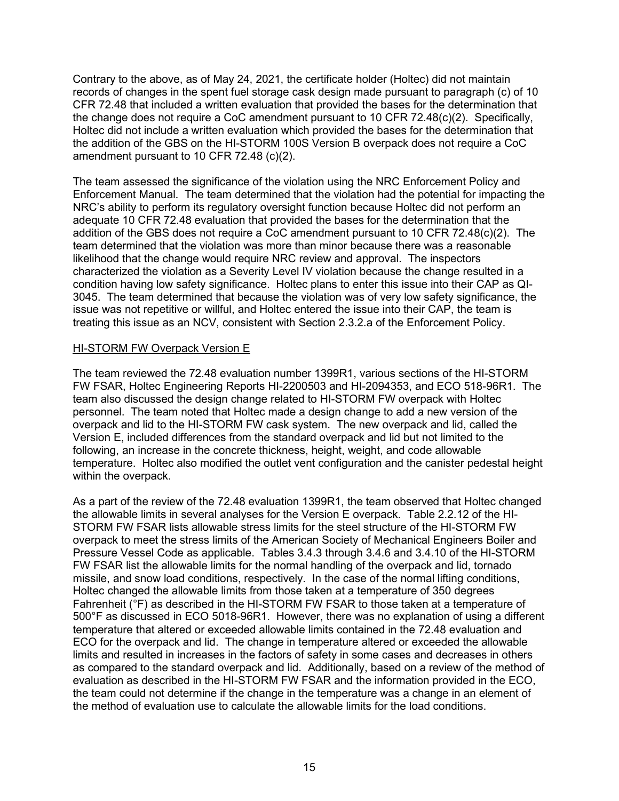Contrary to the above, as of May 24, 2021, the certificate holder (Holtec) did not maintain records of changes in the spent fuel storage cask design made pursuant to paragraph (c) of 10 CFR 72.48 that included a written evaluation that provided the bases for the determination that the change does not require a CoC amendment pursuant to 10 CFR 72.48(c)(2). Specifically, Holtec did not include a written evaluation which provided the bases for the determination that the addition of the GBS on the HI-STORM 100S Version B overpack does not require a CoC amendment pursuant to 10 CFR 72.48 (c)(2).

The team assessed the significance of the violation using the NRC Enforcement Policy and Enforcement Manual. The team determined that the violation had the potential for impacting the NRC's ability to perform its regulatory oversight function because Holtec did not perform an adequate 10 CFR 72.48 evaluation that provided the bases for the determination that the addition of the GBS does not require a CoC amendment pursuant to 10 CFR 72.48(c)(2). The team determined that the violation was more than minor because there was a reasonable likelihood that the change would require NRC review and approval. The inspectors characterized the violation as a Severity Level IV violation because the change resulted in a condition having low safety significance. Holtec plans to enter this issue into their CAP as QI-3045. The team determined that because the violation was of very low safety significance, the issue was not repetitive or willful, and Holtec entered the issue into their CAP, the team is treating this issue as an NCV, consistent with Section 2.3.2.a of the Enforcement Policy.

#### HI-STORM FW Overpack Version E

The team reviewed the 72.48 evaluation number 1399R1, various sections of the HI-STORM FW FSAR, Holtec Engineering Reports HI-2200503 and HI-2094353, and ECO 518-96R1. The team also discussed the design change related to HI-STORM FW overpack with Holtec personnel. The team noted that Holtec made a design change to add a new version of the overpack and lid to the HI-STORM FW cask system. The new overpack and lid, called the Version E, included differences from the standard overpack and lid but not limited to the following, an increase in the concrete thickness, height, weight, and code allowable temperature. Holtec also modified the outlet vent configuration and the canister pedestal height within the overpack.

As a part of the review of the 72.48 evaluation 1399R1, the team observed that Holtec changed the allowable limits in several analyses for the Version E overpack. Table 2.2.12 of the HI-STORM FW FSAR lists allowable stress limits for the steel structure of the HI-STORM FW overpack to meet the stress limits of the American Society of Mechanical Engineers Boiler and Pressure Vessel Code as applicable. Tables 3.4.3 through 3.4.6 and 3.4.10 of the HI-STORM FW FSAR list the allowable limits for the normal handling of the overpack and lid, tornado missile, and snow load conditions, respectively. In the case of the normal lifting conditions, Holtec changed the allowable limits from those taken at a temperature of 350 degrees Fahrenheit (°F) as described in the HI-STORM FW FSAR to those taken at a temperature of 500°F as discussed in ECO 5018-96R1. However, there was no explanation of using a different temperature that altered or exceeded allowable limits contained in the 72.48 evaluation and ECO for the overpack and lid. The change in temperature altered or exceeded the allowable limits and resulted in increases in the factors of safety in some cases and decreases in others as compared to the standard overpack and lid. Additionally, based on a review of the method of evaluation as described in the HI-STORM FW FSAR and the information provided in the ECO, the team could not determine if the change in the temperature was a change in an element of the method of evaluation use to calculate the allowable limits for the load conditions.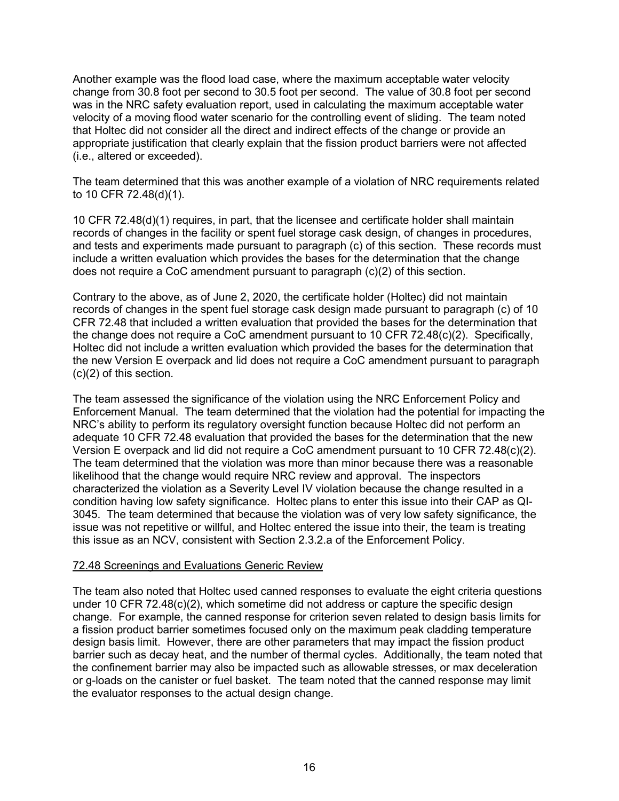Another example was the flood load case, where the maximum acceptable water velocity change from 30.8 foot per second to 30.5 foot per second. The value of 30.8 foot per second was in the NRC safety evaluation report, used in calculating the maximum acceptable water velocity of a moving flood water scenario for the controlling event of sliding. The team noted that Holtec did not consider all the direct and indirect effects of the change or provide an appropriate justification that clearly explain that the fission product barriers were not affected (i.e., altered or exceeded).

The team determined that this was another example of a violation of NRC requirements related to 10 CFR 72.48(d)(1).

10 CFR 72.48(d)(1) requires, in part, that the licensee and certificate holder shall maintain records of changes in the facility or spent fuel storage cask design, of changes in procedures, and tests and experiments made pursuant to paragraph (c) of this section. These records must include a written evaluation which provides the bases for the determination that the change does not require a CoC amendment pursuant to paragraph (c)(2) of this section.

Contrary to the above, as of June 2, 2020, the certificate holder (Holtec) did not maintain records of changes in the spent fuel storage cask design made pursuant to paragraph (c) of 10 CFR 72.48 that included a written evaluation that provided the bases for the determination that the change does not require a CoC amendment pursuant to 10 CFR 72.48(c)(2). Specifically, Holtec did not include a written evaluation which provided the bases for the determination that the new Version E overpack and lid does not require a CoC amendment pursuant to paragraph (c)(2) of this section.

The team assessed the significance of the violation using the NRC Enforcement Policy and Enforcement Manual. The team determined that the violation had the potential for impacting the NRC's ability to perform its regulatory oversight function because Holtec did not perform an adequate 10 CFR 72.48 evaluation that provided the bases for the determination that the new Version E overpack and lid did not require a CoC amendment pursuant to 10 CFR 72.48(c)(2). The team determined that the violation was more than minor because there was a reasonable likelihood that the change would require NRC review and approval. The inspectors characterized the violation as a Severity Level IV violation because the change resulted in a condition having low safety significance. Holtec plans to enter this issue into their CAP as QI-3045. The team determined that because the violation was of very low safety significance, the issue was not repetitive or willful, and Holtec entered the issue into their, the team is treating this issue as an NCV, consistent with Section 2.3.2.a of the Enforcement Policy.

#### 72.48 Screenings and Evaluations Generic Review

The team also noted that Holtec used canned responses to evaluate the eight criteria questions under 10 CFR 72.48(c)(2), which sometime did not address or capture the specific design change. For example, the canned response for criterion seven related to design basis limits for a fission product barrier sometimes focused only on the maximum peak cladding temperature design basis limit. However, there are other parameters that may impact the fission product barrier such as decay heat, and the number of thermal cycles. Additionally, the team noted that the confinement barrier may also be impacted such as allowable stresses, or max deceleration or g-loads on the canister or fuel basket. The team noted that the canned response may limit the evaluator responses to the actual design change.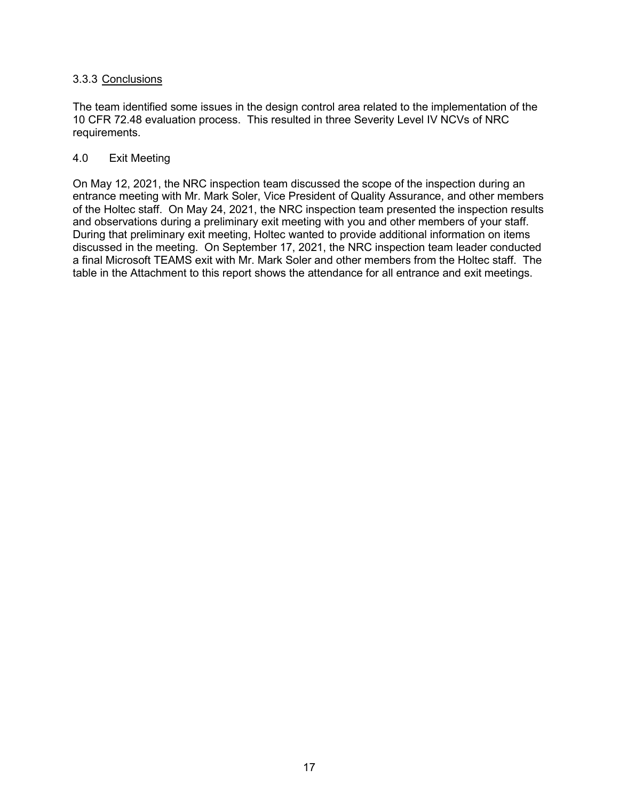### 3.3.3 Conclusions

The team identified some issues in the design control area related to the implementation of the 10 CFR 72.48 evaluation process. This resulted in three Severity Level IV NCVs of NRC requirements.

#### 4.0 Exit Meeting

On May 12, 2021, the NRC inspection team discussed the scope of the inspection during an entrance meeting with Mr. Mark Soler, Vice President of Quality Assurance, and other members of the Holtec staff. On May 24, 2021, the NRC inspection team presented the inspection results and observations during a preliminary exit meeting with you and other members of your staff. During that preliminary exit meeting, Holtec wanted to provide additional information on items discussed in the meeting. On September 17, 2021, the NRC inspection team leader conducted a final Microsoft TEAMS exit with Mr. Mark Soler and other members from the Holtec staff. The table in the Attachment to this report shows the attendance for all entrance and exit meetings.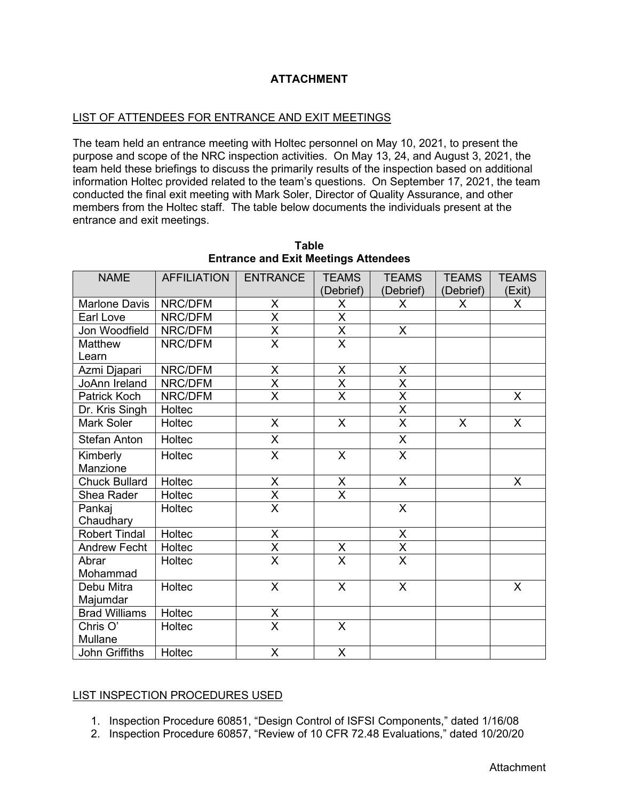## **ATTACHMENT**

### LIST OF ATTENDEES FOR ENTRANCE AND EXIT MEETINGS

The team held an entrance meeting with Holtec personnel on May 10, 2021, to present the purpose and scope of the NRC inspection activities. On May 13, 24, and August 3, 2021, the team held these briefings to discuss the primarily results of the inspection based on additional information Holtec provided related to the team's questions. On September 17, 2021, the team conducted the final exit meeting with Mark Soler, Director of Quality Assurance, and other members from the Holtec staff. The table below documents the individuals present at the entrance and exit meetings.

| <b>NAME</b>          | <b>AFFILIATION</b> | <b>ENTRANCE</b>                     | <b>TEAMS</b>                        | <b>TEAMS</b>                        | <b>TEAMS</b>              | <b>TEAMS</b>            |
|----------------------|--------------------|-------------------------------------|-------------------------------------|-------------------------------------|---------------------------|-------------------------|
|                      |                    |                                     | (Debrief)                           | (Debrief)                           | (Debrief)                 | (Exit)                  |
| <b>Marlone Davis</b> | NRC/DFM            | X                                   | X                                   | X                                   | X                         | X.                      |
| Earl Love            | NRC/DFM            | $\overline{\mathsf{x}}$             | $\overline{\mathsf{x}}$             |                                     |                           |                         |
| Jon Woodfield        | NRC/DFM            | $\frac{\overline{X}}{\overline{X}}$ | $\frac{\overline{X}}{\overline{X}}$ | $\mathsf{X}$                        |                           |                         |
| Matthew              | NRC/DFM            |                                     |                                     |                                     |                           |                         |
| Learn                |                    |                                     |                                     |                                     |                           |                         |
| Azmi Djapari         | NRC/DFM            | X                                   | $\mathsf X$                         | Χ                                   |                           |                         |
| <b>JoAnn Ireland</b> | NRC/DFM            | $\overline{\mathsf{x}}$             | $\overline{\mathsf{x}}$             | $\overline{\mathsf{x}}$             |                           |                         |
| Patrick Koch         | NRC/DFM            | $\overline{\mathsf{X}}$             | $\overline{\mathsf{X}}$             | $\frac{\overline{X}}{\overline{X}}$ |                           | $\mathsf{X}$            |
| Dr. Kris Singh       | Holtec             |                                     |                                     |                                     |                           |                         |
| Mark Soler           | Holtec             | $\overline{X}$                      | $\overline{X}$                      | $\overline{\mathsf{X}}$             | $\boldsymbol{\mathsf{X}}$ | $\overline{\mathsf{x}}$ |
| <b>Stefan Anton</b>  | Holtec             | X                                   |                                     | X                                   |                           |                         |
| Kimberly             | Holtec             | $\overline{\mathsf{X}}$             | $\overline{\mathsf{X}}$             | $\overline{X}$                      |                           |                         |
| Manzione             |                    |                                     |                                     |                                     |                           |                         |
| <b>Chuck Bullard</b> | Holtec             | $\pmb{\times}$                      | X                                   | $\mathsf{X}$                        |                           | X                       |
| Shea Rader           | Holtec             | $\frac{\overline{X}}{\overline{X}}$ | X                                   |                                     |                           |                         |
| Pankaj               | Holtec             |                                     |                                     | $\overline{X}$                      |                           |                         |
| Chaudhary            |                    |                                     |                                     |                                     |                           |                         |
| <b>Robert Tindal</b> | Holtec             | X                                   |                                     | X                                   |                           |                         |
| <b>Andrew Fecht</b>  | Holtec             | $\frac{\overline{X}}{\overline{X}}$ | $\frac{x}{x}$                       | $\frac{\overline{X}}{\overline{X}}$ |                           |                         |
| Abrar                | Holtec             |                                     |                                     |                                     |                           |                         |
| Mohammad             |                    |                                     |                                     |                                     |                           |                         |
| Debu Mitra           | Holtec             | $\overline{\mathsf{x}}$             | $\overline{\mathsf{x}}$             | $\overline{\mathsf{X}}$             |                           | X                       |
| Majumdar             |                    |                                     |                                     |                                     |                           |                         |
| <b>Brad Williams</b> | Holtec             | $\frac{\overline{X}}{\overline{X}}$ |                                     |                                     |                           |                         |
| Chris O'             | Holtec             |                                     | $\mathsf{X}$                        |                                     |                           |                         |
| Mullane              |                    |                                     |                                     |                                     |                           |                         |
| John Griffiths       | Holtec             | X                                   | X                                   |                                     |                           |                         |

**Table Entrance and Exit Meetings Attendees**

### LIST INSPECTION PROCEDURES USED

- 1. Inspection Procedure 60851, "Design Control of ISFSI Components," dated 1/16/08
- 2. Inspection Procedure 60857, "Review of 10 CFR 72.48 Evaluations," dated 10/20/20